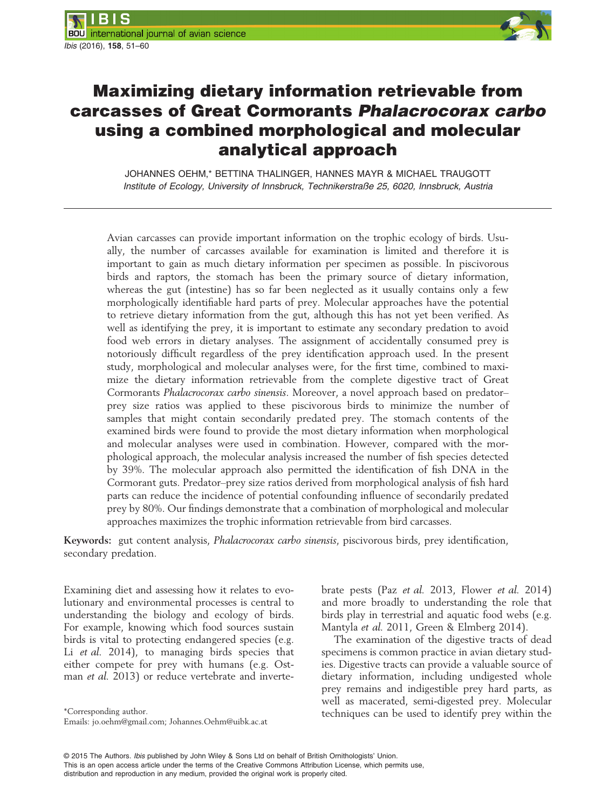

# Maximizing dietary information retrievable from carcasses of Great Cormorants Phalacrocorax carbo using a combined morphological and molecular analytical approach

JOHANNES OEHM,\* BETTINA THALINGER, HANNES MAYR & MICHAEL TRAUGOTT Institute of Ecology, University of Innsbruck, Technikerstraße 25, 6020, Innsbruck, Austria

Avian carcasses can provide important information on the trophic ecology of birds. Usually, the number of carcasses available for examination is limited and therefore it is important to gain as much dietary information per specimen as possible. In piscivorous birds and raptors, the stomach has been the primary source of dietary information, whereas the gut (intestine) has so far been neglected as it usually contains only a few morphologically identifiable hard parts of prey. Molecular approaches have the potential to retrieve dietary information from the gut, although this has not yet been verified. As well as identifying the prey, it is important to estimate any secondary predation to avoid food web errors in dietary analyses. The assignment of accidentally consumed prey is notoriously difficult regardless of the prey identification approach used. In the present study, morphological and molecular analyses were, for the first time, combined to maximize the dietary information retrievable from the complete digestive tract of Great Cormorants Phalacrocorax carbo sinensis. Moreover, a novel approach based on predator– prey size ratios was applied to these piscivorous birds to minimize the number of samples that might contain secondarily predated prey. The stomach contents of the examined birds were found to provide the most dietary information when morphological and molecular analyses were used in combination. However, compared with the morphological approach, the molecular analysis increased the number of fish species detected by 39%. The molecular approach also permitted the identification of fish DNA in the Cormorant guts. Predator–prey size ratios derived from morphological analysis of fish hard parts can reduce the incidence of potential confounding influence of secondarily predated prey by 80%. Our findings demonstrate that a combination of morphological and molecular approaches maximizes the trophic information retrievable from bird carcasses.

Keywords: gut content analysis, Phalacrocorax carbo sinensis, piscivorous birds, prey identification, secondary predation.

Examining diet and assessing how it relates to evolutionary and environmental processes is central to understanding the biology and ecology of birds. For example, knowing which food sources sustain birds is vital to protecting endangered species (e.g. Li et al. 2014), to managing birds species that either compete for prey with humans (e.g. Ostman *et al.* 2013) or reduce vertebrate and inverte-

Emails: jo.oehm@gmail.com; Johannes.Oehm@uibk.ac.at

brate pests (Paz et al. 2013, Flower et al. 2014) and more broadly to understanding the role that birds play in terrestrial and aquatic food webs (e.g. Mantyla et al. 2011, Green & Elmberg 2014).

The examination of the digestive tracts of dead specimens is common practice in avian dietary studies. Digestive tracts can provide a valuable source of dietary information, including undigested whole prey remains and indigestible prey hard parts, as well as macerated, semi-digested prey. Molecular techniques can be used to identify prey within the \*Corresponding author.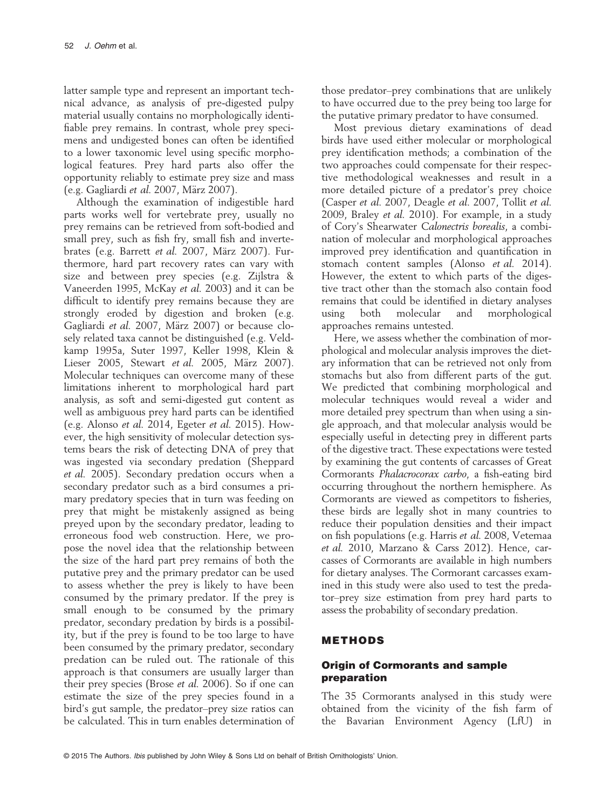latter sample type and represent an important technical advance, as analysis of pre-digested pulpy material usually contains no morphologically identifiable prey remains. In contrast, whole prey specimens and undigested bones can often be identified to a lower taxonomic level using specific morphological features. Prey hard parts also offer the opportunity reliably to estimate prey size and mass (e.g. Gagliardi et al. 2007, März 2007).

Although the examination of indigestible hard parts works well for vertebrate prey, usually no prey remains can be retrieved from soft-bodied and small prey, such as fish fry, small fish and invertebrates (e.g. Barrett et al. 2007, März 2007). Furthermore, hard part recovery rates can vary with size and between prey species (e.g. Zijlstra & Vaneerden 1995, McKay et al. 2003) and it can be difficult to identify prey remains because they are strongly eroded by digestion and broken (e.g. Gagliardi et al. 2007, März 2007) or because closely related taxa cannot be distinguished (e.g. Veldkamp 1995a, Suter 1997, Keller 1998, Klein & Lieser 2005, Stewart et al. 2005, März 2007). Molecular techniques can overcome many of these limitations inherent to morphological hard part analysis, as soft and semi-digested gut content as well as ambiguous prey hard parts can be identified (e.g. Alonso et al. 2014, Egeter et al. 2015). However, the high sensitivity of molecular detection systems bears the risk of detecting DNA of prey that was ingested via secondary predation (Sheppard et al. 2005). Secondary predation occurs when a secondary predator such as a bird consumes a primary predatory species that in turn was feeding on prey that might be mistakenly assigned as being preyed upon by the secondary predator, leading to erroneous food web construction. Here, we propose the novel idea that the relationship between the size of the hard part prey remains of both the putative prey and the primary predator can be used to assess whether the prey is likely to have been consumed by the primary predator. If the prey is small enough to be consumed by the primary predator, secondary predation by birds is a possibility, but if the prey is found to be too large to have been consumed by the primary predator, secondary predation can be ruled out. The rationale of this approach is that consumers are usually larger than their prey species (Brose et al. 2006). So if one can estimate the size of the prey species found in a bird's gut sample, the predator–prey size ratios can be calculated. This in turn enables determination of those predator–prey combinations that are unlikely to have occurred due to the prey being too large for the putative primary predator to have consumed.

Most previous dietary examinations of dead birds have used either molecular or morphological prey identification methods; a combination of the two approaches could compensate for their respective methodological weaknesses and result in a more detailed picture of a predator's prey choice (Casper et al. 2007, Deagle et al. 2007, Tollit et al. 2009, Braley et al. 2010). For example, in a study of Cory's Shearwater Calonectris borealis, a combination of molecular and morphological approaches improved prey identification and quantification in stomach content samples (Alonso et al. 2014). However, the extent to which parts of the digestive tract other than the stomach also contain food remains that could be identified in dietary analyses using both molecular and morphological approaches remains untested.

Here, we assess whether the combination of morphological and molecular analysis improves the dietary information that can be retrieved not only from stomachs but also from different parts of the gut. We predicted that combining morphological and molecular techniques would reveal a wider and more detailed prey spectrum than when using a single approach, and that molecular analysis would be especially useful in detecting prey in different parts of the digestive tract. These expectations were tested by examining the gut contents of carcasses of Great Cormorants Phalacrocorax carbo, a fish-eating bird occurring throughout the northern hemisphere. As Cormorants are viewed as competitors to fisheries, these birds are legally shot in many countries to reduce their population densities and their impact on fish populations (e.g. Harris et al. 2008, Vetemaa et al. 2010, Marzano & Carss 2012). Hence, carcasses of Cormorants are available in high numbers for dietary analyses. The Cormorant carcasses examined in this study were also used to test the predator–prey size estimation from prey hard parts to assess the probability of secondary predation.

## METHODS

## Origin of Cormorants and sample preparation

The 35 Cormorants analysed in this study were obtained from the vicinity of the fish farm of the Bavarian Environment Agency (LfU) in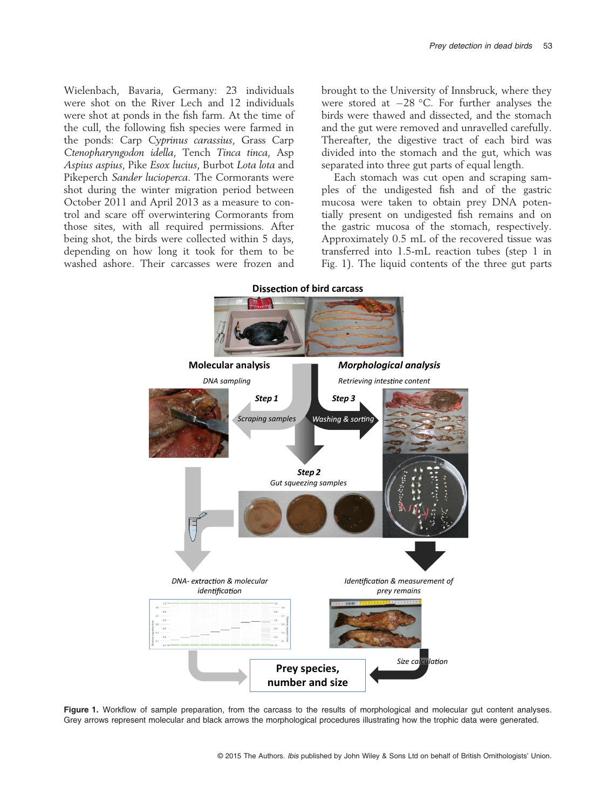Wielenbach, Bavaria, Germany: 23 individuals were shot on the River Lech and 12 individuals were shot at ponds in the fish farm. At the time of the cull, the following fish species were farmed in the ponds: Carp Cyprinus carassius, Grass Carp Ctenopharyngodon idella, Tench Tinca tinca, Asp Aspius aspius, Pike Esox lucius, Burbot Lota lota and Pikeperch Sander lucioperca. The Cormorants were shot during the winter migration period between October 2011 and April 2013 as a measure to control and scare off overwintering Cormorants from those sites, with all required permissions. After being shot, the birds were collected within 5 days, depending on how long it took for them to be washed ashore. Their carcasses were frozen and brought to the University of Innsbruck, where they were stored at  $-28$  °C. For further analyses the birds were thawed and dissected, and the stomach and the gut were removed and unravelled carefully. Thereafter, the digestive tract of each bird was divided into the stomach and the gut, which was separated into three gut parts of equal length.

Each stomach was cut open and scraping samples of the undigested fish and of the gastric mucosa were taken to obtain prey DNA potentially present on undigested fish remains and on the gastric mucosa of the stomach, respectively. Approximately 0.5 mL of the recovered tissue was transferred into 1.5-mL reaction tubes (step 1 in Fig. 1). The liquid contents of the three gut parts



Figure 1. Workflow of sample preparation, from the carcass to the results of morphological and molecular gut content analyses. Grey arrows represent molecular and black arrows the morphological procedures illustrating how the trophic data were generated.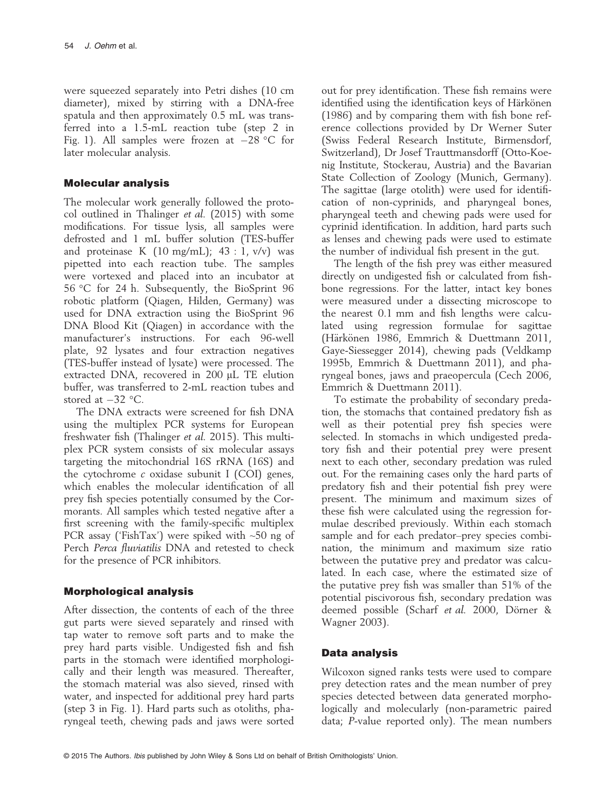were squeezed separately into Petri dishes (10 cm diameter), mixed by stirring with a DNA-free spatula and then approximately 0.5 mL was transferred into a 1.5-mL reaction tube (step 2 in Fig. 1). All samples were frozen at  $-28$  °C for later molecular analysis.

### Molecular analysis

The molecular work generally followed the protocol outlined in Thalinger et al. (2015) with some modifications. For tissue lysis, all samples were defrosted and 1 mL buffer solution (TES-buffer and proteinase K  $(10 \text{ mg/mL})$ ;  $43 : 1$ ,  $v/v$  was pipetted into each reaction tube. The samples were vortexed and placed into an incubator at 56 °C for 24 h. Subsequently, the BioSprint 96 robotic platform (Qiagen, Hilden, Germany) was used for DNA extraction using the BioSprint 96 DNA Blood Kit (Qiagen) in accordance with the manufacturer's instructions. For each 96-well plate, 92 lysates and four extraction negatives (TES-buffer instead of lysate) were processed. The extracted DNA, recovered in 200 µL TE elution buffer, was transferred to 2-mL reaction tubes and stored at  $-32$  °C.

The DNA extracts were screened for fish DNA using the multiplex PCR systems for European freshwater fish (Thalinger et al. 2015). This multiplex PCR system consists of six molecular assays targeting the mitochondrial 16S rRNA (16S) and the cytochrome c oxidase subunit I (COI) genes, which enables the molecular identification of all prey fish species potentially consumed by the Cormorants. All samples which tested negative after a first screening with the family-specific multiplex PCR assay ('FishTax') were spiked with  $\sim$ 50 ng of Perch Perca fluviatilis DNA and retested to check for the presence of PCR inhibitors.

## Morphological analysis

After dissection, the contents of each of the three gut parts were sieved separately and rinsed with tap water to remove soft parts and to make the prey hard parts visible. Undigested fish and fish parts in the stomach were identified morphologically and their length was measured. Thereafter, the stomach material was also sieved, rinsed with water, and inspected for additional prey hard parts (step 3 in Fig. 1). Hard parts such as otoliths, pharyngeal teeth, chewing pads and jaws were sorted out for prey identification. These fish remains were identified using the identification keys of Härkönen (1986) and by comparing them with fish bone reference collections provided by Dr Werner Suter (Swiss Federal Research Institute, Birmensdorf, Switzerland), Dr Josef Trauttmansdorff (Otto-Koenig Institute, Stockerau, Austria) and the Bavarian State Collection of Zoology (Munich, Germany). The sagittae (large otolith) were used for identification of non-cyprinids, and pharyngeal bones, pharyngeal teeth and chewing pads were used for cyprinid identification. In addition, hard parts such as lenses and chewing pads were used to estimate the number of individual fish present in the gut.

The length of the fish prey was either measured directly on undigested fish or calculated from fishbone regressions. For the latter, intact key bones were measured under a dissecting microscope to the nearest 0.1 mm and fish lengths were calculated using regression formulae for sagittae (Härkönen 1986, Emmrich & Duettmann 2011, Gaye-Siessegger 2014), chewing pads (Veldkamp 1995b, Emmrich & Duettmann 2011), and pharyngeal bones, jaws and praeopercula (Cech 2006, Emmrich & Duettmann 2011).

To estimate the probability of secondary predation, the stomachs that contained predatory fish as well as their potential prey fish species were selected. In stomachs in which undigested predatory fish and their potential prey were present next to each other, secondary predation was ruled out. For the remaining cases only the hard parts of predatory fish and their potential fish prey were present. The minimum and maximum sizes of these fish were calculated using the regression formulae described previously. Within each stomach sample and for each predator–prey species combination, the minimum and maximum size ratio between the putative prey and predator was calculated. In each case, where the estimated size of the putative prey fish was smaller than 51% of the potential piscivorous fish, secondary predation was deemed possible (Scharf et al. 2000, Dörner & Wagner 2003).

## Data analysis

Wilcoxon signed ranks tests were used to compare prey detection rates and the mean number of prey species detected between data generated morphologically and molecularly (non-parametric paired data; P-value reported only). The mean numbers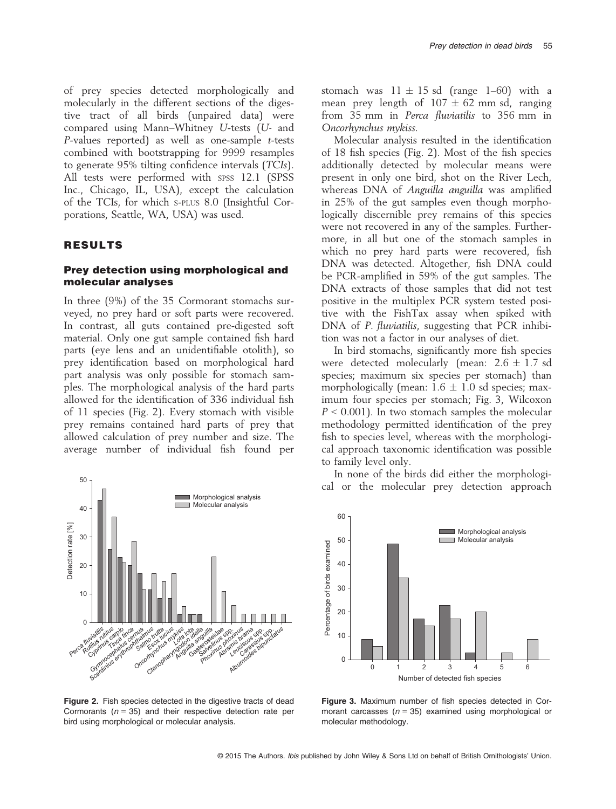of prey species detected morphologically and molecularly in the different sections of the digestive tract of all birds (unpaired data) were compared using Mann–Whitney U-tests (U- and P-values reported) as well as one-sample t-tests combined with bootstrapping for 9999 resamples to generate 95% tilting confidence intervals (TCIs). All tests were performed with SPSS 12.1 (SPSS Inc., Chicago, IL, USA), except the calculation of the TCIs, for which S-PLUS 8.0 (Insightful Corporations, Seattle, WA, USA) was used.

#### RESULTS

#### Prey detection using morphological and molecular analyses

In three (9%) of the 35 Cormorant stomachs surveyed, no prey hard or soft parts were recovered. In contrast, all guts contained pre-digested soft material. Only one gut sample contained fish hard parts (eye lens and an unidentifiable otolith), so prey identification based on morphological hard part analysis was only possible for stomach samples. The morphological analysis of the hard parts allowed for the identification of 336 individual fish of 11 species (Fig. 2). Every stomach with visible prey remains contained hard parts of prey that allowed calculation of prey number and size. The average number of individual fish found per



Figure 2. Fish species detected in the digestive tracts of dead Cormorants ( $n = 35$ ) and their respective detection rate per bird using morphological or molecular analysis.

stomach was  $11 \pm 15$  sd (range 1–60) with a mean prey length of  $107 \pm 62$  mm sd, ranging from 35 mm in Perca fluviatilis to 356 mm in Oncorhynchus mykiss.

Molecular analysis resulted in the identification of 18 fish species (Fig. 2). Most of the fish species additionally detected by molecular means were present in only one bird, shot on the River Lech, whereas DNA of *Anguilla anguilla* was amplified in 25% of the gut samples even though morphologically discernible prey remains of this species were not recovered in any of the samples. Furthermore, in all but one of the stomach samples in which no prey hard parts were recovered, fish DNA was detected. Altogether, fish DNA could be PCR-amplified in 59% of the gut samples. The DNA extracts of those samples that did not test positive in the multiplex PCR system tested positive with the FishTax assay when spiked with DNA of *P. fluviatilis*, suggesting that PCR inhibition was not a factor in our analyses of diet.

In bird stomachs, significantly more fish species were detected molecularly (mean:  $2.6 \pm 1.7$  sd species; maximum six species per stomach) than morphologically (mean:  $1.6 \pm 1.0$  sd species; maximum four species per stomach; Fig. 3, Wilcoxon  $P < 0.001$ ). In two stomach samples the molecular methodology permitted identification of the prey fish to species level, whereas with the morphological approach taxonomic identification was possible to family level only.

In none of the birds did either the morphological or the molecular prey detection approach



Figure 3. Maximum number of fish species detected in Cormorant carcasses ( $n = 35$ ) examined using morphological or molecular methodology.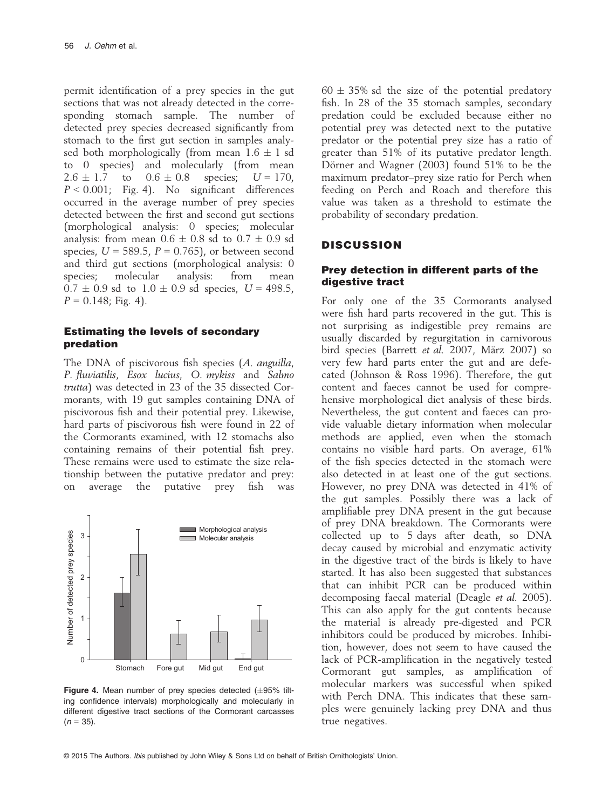permit identification of a prey species in the gut sections that was not already detected in the corresponding stomach sample. The number of detected prey species decreased significantly from stomach to the first gut section in samples analysed both morphologically (from mean  $1.6 \pm 1$  sd to 0 species) and molecularly (from mean  $2.6 \pm 1.7$  to  $0.6 \pm 0.8$  species;  $U = 170$ ,  $P < 0.001$ ; Fig. 4). No significant differences occurred in the average number of prey species detected between the first and second gut sections (morphological analysis: 0 species; molecular analysis: from mean  $0.6 \pm 0.8$  sd to  $0.7 \pm 0.9$  sd species,  $U = 589.5$ ,  $P = 0.765$ ), or between second and third gut sections (morphological analysis: 0 species; molecular analysis: from mean  $0.7 \pm 0.9$  sd to  $1.0 \pm 0.9$  sd species,  $U = 498.5$ ,  $P = 0.148$ ; Fig. 4).

# Estimating the levels of secondary predation

The DNA of piscivorous fish species (A. anguilla, P. fluviatilis, Esox lucius, O. mykiss and Salmo trutta) was detected in 23 of the 35 dissected Cormorants, with 19 gut samples containing DNA of piscivorous fish and their potential prey. Likewise, hard parts of piscivorous fish were found in 22 of the Cormorants examined, with 12 stomachs also containing remains of their potential fish prey. These remains were used to estimate the size relationship between the putative predator and prey: on average the putative prey fish was



Figure 4. Mean number of prey species detected  $(\pm 95\%$  tilting confidence intervals) morphologically and molecularly in different digestive tract sections of the Cormorant carcasses  $(n = 35)$ .

 $60 \pm 35\%$  sd the size of the potential predatory fish. In 28 of the 35 stomach samples, secondary predation could be excluded because either no potential prey was detected next to the putative predator or the potential prey size has a ratio of greater than 51% of its putative predator length. Dörner and Wagner  $(2003)$  found 51% to be the maximum predator–prey size ratio for Perch when feeding on Perch and Roach and therefore this value was taken as a threshold to estimate the probability of secondary predation.

# **DISCUSSION**

## Prey detection in different parts of the digestive tract

For only one of the 35 Cormorants analysed were fish hard parts recovered in the gut. This is not surprising as indigestible prey remains are usually discarded by regurgitation in carnivorous bird species (Barrett et al. 2007, März 2007) so very few hard parts enter the gut and are defecated (Johnson & Ross 1996). Therefore, the gut content and faeces cannot be used for comprehensive morphological diet analysis of these birds. Nevertheless, the gut content and faeces can provide valuable dietary information when molecular methods are applied, even when the stomach contains no visible hard parts. On average, 61% of the fish species detected in the stomach were also detected in at least one of the gut sections. However, no prey DNA was detected in 41% of the gut samples. Possibly there was a lack of amplifiable prey DNA present in the gut because of prey DNA breakdown. The Cormorants were collected up to 5 days after death, so DNA decay caused by microbial and enzymatic activity in the digestive tract of the birds is likely to have started. It has also been suggested that substances that can inhibit PCR can be produced within decomposing faecal material (Deagle et al. 2005). This can also apply for the gut contents because the material is already pre-digested and PCR inhibitors could be produced by microbes. Inhibition, however, does not seem to have caused the lack of PCR-amplification in the negatively tested Cormorant gut samples, as amplification of molecular markers was successful when spiked with Perch DNA. This indicates that these samples were genuinely lacking prey DNA and thus true negatives.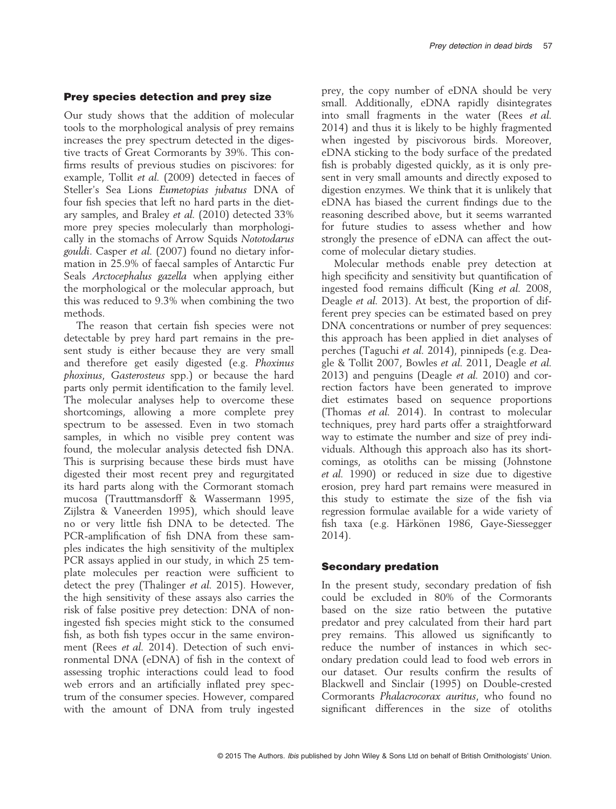Our study shows that the addition of molecular tools to the morphological analysis of prey remains increases the prey spectrum detected in the digestive tracts of Great Cormorants by 39%. This confirms results of previous studies on piscivores: for example, Tollit et al. (2009) detected in faeces of Steller's Sea Lions Eumetopias jubatus DNA of four fish species that left no hard parts in the dietary samples, and Braley et al. (2010) detected 33% more prey species molecularly than morphologically in the stomachs of Arrow Squids Nototodarus gouldi. Casper et al. (2007) found no dietary information in 25.9% of faecal samples of Antarctic Fur Seals Arctocephalus gazella when applying either the morphological or the molecular approach, but this was reduced to 9.3% when combining the two methods.

The reason that certain fish species were not detectable by prey hard part remains in the present study is either because they are very small and therefore get easily digested (e.g. Phoxinus phoxinus, Gasterosteus spp.) or because the hard parts only permit identification to the family level. The molecular analyses help to overcome these shortcomings, allowing a more complete prey spectrum to be assessed. Even in two stomach samples, in which no visible prey content was found, the molecular analysis detected fish DNA. This is surprising because these birds must have digested their most recent prey and regurgitated its hard parts along with the Cormorant stomach mucosa (Trauttmansdorff & Wassermann 1995, Zijlstra & Vaneerden 1995), which should leave no or very little fish DNA to be detected. The PCR-amplification of fish DNA from these samples indicates the high sensitivity of the multiplex PCR assays applied in our study, in which 25 template molecules per reaction were sufficient to detect the prey (Thalinger et al. 2015). However, the high sensitivity of these assays also carries the risk of false positive prey detection: DNA of noningested fish species might stick to the consumed fish, as both fish types occur in the same environment (Rees et al. 2014). Detection of such environmental DNA (eDNA) of fish in the context of assessing trophic interactions could lead to food web errors and an artificially inflated prey spectrum of the consumer species. However, compared with the amount of DNA from truly ingested

prey, the copy number of eDNA should be very small. Additionally, eDNA rapidly disintegrates into small fragments in the water (Rees et al. 2014) and thus it is likely to be highly fragmented when ingested by piscivorous birds. Moreover, eDNA sticking to the body surface of the predated fish is probably digested quickly, as it is only present in very small amounts and directly exposed to digestion enzymes. We think that it is unlikely that eDNA has biased the current findings due to the reasoning described above, but it seems warranted for future studies to assess whether and how strongly the presence of eDNA can affect the outcome of molecular dietary studies.

Molecular methods enable prey detection at high specificity and sensitivity but quantification of ingested food remains difficult (King et al. 2008, Deagle et al. 2013). At best, the proportion of different prey species can be estimated based on prey DNA concentrations or number of prey sequences: this approach has been applied in diet analyses of perches (Taguchi et al. 2014), pinnipeds (e.g. Deagle & Tollit 2007, Bowles et al. 2011, Deagle et al. 2013) and penguins (Deagle et al. 2010) and correction factors have been generated to improve diet estimates based on sequence proportions (Thomas et al. 2014). In contrast to molecular techniques, prey hard parts offer a straightforward way to estimate the number and size of prey individuals. Although this approach also has its shortcomings, as otoliths can be missing (Johnstone et al. 1990) or reduced in size due to digestive erosion, prey hard part remains were measured in this study to estimate the size of the fish via regression formulae available for a wide variety of fish taxa (e.g. Härkönen 1986, Gaye-Siessegger 2014).

#### Secondary predation

In the present study, secondary predation of fish could be excluded in 80% of the Cormorants based on the size ratio between the putative predator and prey calculated from their hard part prey remains. This allowed us significantly to reduce the number of instances in which secondary predation could lead to food web errors in our dataset. Our results confirm the results of Blackwell and Sinclair (1995) on Double-crested Cormorants Phalacrocorax auritus, who found no significant differences in the size of otoliths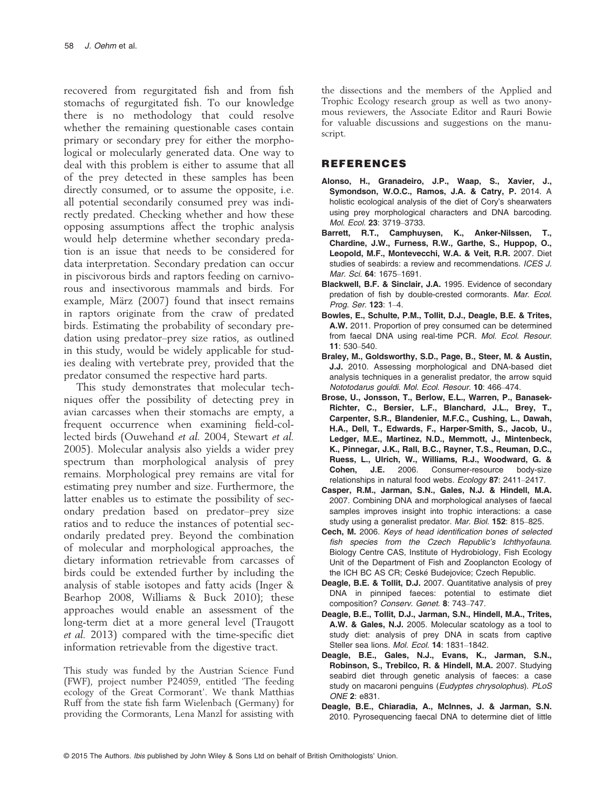recovered from regurgitated fish and from fish stomachs of regurgitated fish. To our knowledge there is no methodology that could resolve whether the remaining questionable cases contain primary or secondary prey for either the morphological or molecularly generated data. One way to deal with this problem is either to assume that all of the prey detected in these samples has been directly consumed, or to assume the opposite, i.e. all potential secondarily consumed prey was indirectly predated. Checking whether and how these opposing assumptions affect the trophic analysis would help determine whether secondary predation is an issue that needs to be considered for data interpretation. Secondary predation can occur in piscivorous birds and raptors feeding on carnivorous and insectivorous mammals and birds. For example, März (2007) found that insect remains in raptors originate from the craw of predated birds. Estimating the probability of secondary predation using predator–prey size ratios, as outlined in this study, would be widely applicable for studies dealing with vertebrate prey, provided that the predator consumed the respective hard parts.

This study demonstrates that molecular techniques offer the possibility of detecting prey in avian carcasses when their stomachs are empty, a frequent occurrence when examining field-collected birds (Ouwehand et al. 2004, Stewart et al. 2005). Molecular analysis also yields a wider prey spectrum than morphological analysis of prey remains. Morphological prey remains are vital for estimating prey number and size. Furthermore, the latter enables us to estimate the possibility of secondary predation based on predator–prey size ratios and to reduce the instances of potential secondarily predated prey. Beyond the combination of molecular and morphological approaches, the dietary information retrievable from carcasses of birds could be extended further by including the analysis of stable isotopes and fatty acids (Inger & Bearhop 2008, Williams & Buck 2010); these approaches would enable an assessment of the long-term diet at a more general level (Traugott et al. 2013) compared with the time-specific diet information retrievable from the digestive tract.

This study was funded by the Austrian Science Fund (FWF), project number P24059, entitled 'The feeding ecology of the Great Cormorant'. We thank Matthias Ruff from the state fish farm Wielenbach (Germany) for providing the Cormorants, Lena Manzl for assisting with

the dissections and the members of the Applied and Trophic Ecology research group as well as two anonymous reviewers, the Associate Editor and Rauri Bowie for valuable discussions and suggestions on the manuscript.

#### REFERENCES

- Alonso, H., Granadeiro, J.P., Waap, S., Xavier, J., Symondson, W.O.C., Ramos, J.A. & Catry, P. 2014. A holistic ecological analysis of the diet of Cory's shearwaters using prey morphological characters and DNA barcoding. Mol. Ecol. 23: 3719–3733.
- Barrett, R.T., Camphuysen, K., Anker-Nilssen, T., Chardine, J.W., Furness, R.W., Garthe, S., Huppop, O., Leopold, M.F., Montevecchi, W.A. & Veit, R.R. 2007. Diet studies of seabirds: a review and recommendations. ICES J. Mar. Sci. 64: 1675–1691.
- Blackwell, B.F. & Sinclair, J.A. 1995. Evidence of secondary predation of fish by double-crested cormorants. Mar. Ecol. Prog. Ser. 123: 1–4.
- Bowles, E., Schulte, P.M., Tollit, D.J., Deagle, B.E. & Trites, A.W. 2011. Proportion of prey consumed can be determined from faecal DNA using real-time PCR. Mol. Ecol. Resour. 11: 530–540.
- Braley, M., Goldsworthy, S.D., Page, B., Steer, M. & Austin, J.J. 2010. Assessing morphological and DNA-based diet analysis techniques in a generalist predator, the arrow squid Nototodarus gouldi. Mol. Ecol. Resour. 10: 466–474.
- Brose, U., Jonsson, T., Berlow, E.L., Warren, P., Banasek-Richter, C., Bersier, L.F., Blanchard, J.L., Brey, T., Carpenter, S.R., Blandenier, M.F.C., Cushing, L., Dawah, H.A., Dell, T., Edwards, F., Harper-Smith, S., Jacob, U., Ledger, M.E., Martinez, N.D., Memmott, J., Mintenbeck, K., Pinnegar, J.K., Rall, B.C., Rayner, T.S., Reuman, D.C., Ruess, L., Ulrich, W., Williams, R.J., Woodward, G. & Cohen, J.E. 2006. Consumer-resource body-size relationships in natural food webs. Ecology 87: 2411–2417.
- Casper, R.M., Jarman, S.N., Gales, N.J. & Hindell, M.A. 2007. Combining DNA and morphological analyses of faecal samples improves insight into trophic interactions: a case study using a generalist predator. Mar. Biol. 152: 815–825.
- Cech, M. 2006. Keys of head identification bones of selected fish species from the Czech Republic's Ichthyofauna. Biology Centre CAS, Institute of Hydrobiology, Fish Ecology Unit of the Department of Fish and Zooplancton Ecology of the ICH BC AS CR; Ceské Budejovice; Czech Republic.
- Deagle, B.E. & Tollit, D.J. 2007. Quantitative analysis of prey DNA in pinniped faeces: potential to estimate diet composition? Conserv. Genet. 8: 743–747.
- Deagle, B.E., Tollit, D.J., Jarman, S.N., Hindell, M.A., Trites, A.W. & Gales, N.J. 2005. Molecular scatology as a tool to study diet: analysis of prey DNA in scats from captive Steller sea lions. Mol. Ecol. 14: 1831-1842.
- Deagle, B.E., Gales, N.J., Evans, K., Jarman, S.N., Robinson, S., Trebilco, R. & Hindell, M.A. 2007. Studying seabird diet through genetic analysis of faeces: a case study on macaroni penguins (Eudyptes chrysolophus). PLoS ONE 2: e831.
- Deagle, B.E., Chiaradia, A., McInnes, J. & Jarman, S.N. 2010. Pyrosequencing faecal DNA to determine diet of little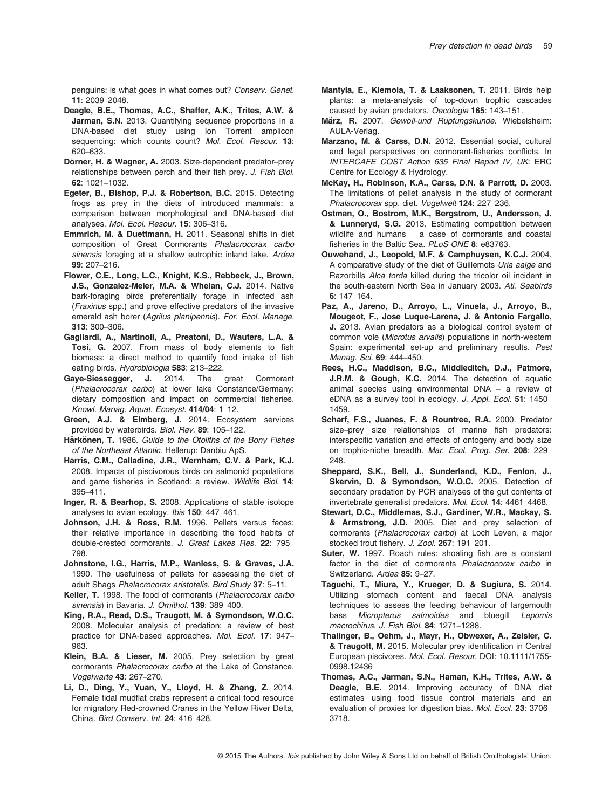penguins: is what goes in what comes out? Conserv. Genet. 11: 2039–2048.

- Deagle, B.E., Thomas, A.C., Shaffer, A.K., Trites, A.W. & Jarman, S.N. 2013. Quantifying sequence proportions in a DNA-based diet study using Ion Torrent amplicon sequencing: which counts count? Mol. Ecol. Resour. 13: 620–633.
- Dörner, H. & Wagner, A. 2003. Size-dependent predator-prey relationships between perch and their fish prey. J. Fish Biol. 62: 1021–1032.
- Egeter, B., Bishop, P.J. & Robertson, B.C. 2015. Detecting frogs as prey in the diets of introduced mammals: a comparison between morphological and DNA-based diet analyses. Mol. Ecol. Resour. 15: 306–316.
- Emmrich, M. & Duettmann, H. 2011. Seasonal shifts in diet composition of Great Cormorants Phalacrocorax carbo sinensis foraging at a shallow eutrophic inland lake. Ardea 99: 207–216.
- Flower, C.E., Long, L.C., Knight, K.S., Rebbeck, J., Brown, J.S., Gonzalez-Meler, M.A. & Whelan, C.J. 2014. Native bark-foraging birds preferentially forage in infected ash (Fraxinus spp.) and prove effective predators of the invasive emerald ash borer (Agrilus planipennis). For. Ecol. Manage. 313: 300–306.
- Gagliardi, A., Martinoli, A., Preatoni, D., Wauters, L.A. & Tosi, G. 2007. From mass of body elements to fish biomass: a direct method to quantify food intake of fish eating birds. Hydrobiologia 583: 213–222.
- Gaye-Siessegger, J. 2014. The great Cormorant (Phalacrocorax carbo) at lower lake Constance/Germany: dietary composition and impact on commercial fisheries. Knowl. Manag. Aquat. Ecosyst. 414/04: 1–12.
- Green, A.J. & Elmberg, J. 2014. Ecosystem services provided by waterbirds. Biol. Rev. 89: 105–122.
- Härkönen, T. 1986. Guide to the Otoliths of the Bony Fishes of the Northeast Atlantic. Hellerup: Danbiu ApS.
- Harris, C.M., Calladine, J.R., Wernham, C.V. & Park, K.J. 2008. Impacts of piscivorous birds on salmonid populations and game fisheries in Scotland: a review. Wildlife Biol. 14: 395–411.
- Inger, R. & Bearhop, S. 2008. Applications of stable isotope analyses to avian ecology. Ibis 150: 447–461.
- Johnson, J.H. & Ross, R.M. 1996. Pellets versus feces: their relative importance in describing the food habits of double-crested cormorants. J. Great Lakes Res. 22: 795– 798.
- Johnstone, I.G., Harris, M.P., Wanless, S. & Graves, J.A. 1990. The usefulness of pellets for assessing the diet of adult Shags Phalacrocorax aristotelis. Bird Study 37: 5–11.
- Keller, T. 1998. The food of cormorants (Phalacrocorax carbo sinensis) in Bavaria. J. Ornithol. 139: 389-400.
- King, R.A., Read, D.S., Traugott, M. & Symondson, W.O.C. 2008. Molecular analysis of predation: a review of best practice for DNA-based approaches. Mol. Ecol. 17: 947– 963.
- Klein, B.A. & Lieser, M. 2005. Prey selection by great cormorants Phalacrocorax carbo at the Lake of Constance. Vogelwarte 43: 267–270.
- Li, D., Ding, Y., Yuan, Y., Lloyd, H. & Zhang, Z. 2014. Female tidal mudflat crabs represent a critical food resource for migratory Red-crowned Cranes in the Yellow River Delta, China. Bird Conserv. Int. 24: 416–428.
- Mantyla, E., Klemola, T. & Laaksonen, T. 2011. Birds help plants: a meta-analysis of top-down trophic cascades caused by avian predators. Oecologia 165: 143–151.
- März, R. 2007. Gewöll-und Rupfungskunde. Wiebelsheim: AULA-Verlag.
- Marzano, M. & Carss, D.N. 2012. Essential social, cultural and legal perspectives on cormorant-fisheries conflicts. In INTERCAFE COST Action 635 Final Report IV, UK: ERC Centre for Ecology & Hydrology.
- McKay, H., Robinson, K.A., Carss, D.N. & Parrott, D. 2003. The limitations of pellet analysis in the study of cormorant Phalacrocorax spp. diet. Vogelwelt 124: 227–236.
- Ostman, O., Bostrom, M.K., Bergstrom, U., Andersson, J. & Lunneryd, S.G. 2013. Estimating competition between wildlife and humans – a case of cormorants and coastal fisheries in the Baltic Sea. PLoS ONE 8: e83763.
- Ouwehand, J., Leopold, M.F. & Camphuysen, K.C.J. 2004. A comparative study of the diet of Guillemots Uria aalge and Razorbills Alca torda killed during the tricolor oil incident in the south-eastern North Sea in January 2003. Atl. Seabirds 6: 147–164.
- Paz, A., Jareno, D., Arroyo, L., Vinuela, J., Arroyo, B., Mougeot, F., Jose Luque-Larena, J. & Antonio Fargallo, J. 2013. Avian predators as a biological control system of common vole (Microtus arvalis) populations in north-western Spain: experimental set-up and preliminary results. Pest Manag. Sci. 69: 444–450.
- Rees, H.C., Maddison, B.C., Middleditch, D.J., Patmore, J.R.M. & Gough, K.C. 2014. The detection of aquatic animal species using environmental DNA – a review of eDNA as a survey tool in ecology. J. Appl. Ecol. 51: 1450– 1459.
- Scharf, F.S., Juanes, F. & Rountree, R.A. 2000. Predator size–prey size relationships of marine fish predators: interspecific variation and effects of ontogeny and body size on trophic-niche breadth. Mar. Ecol. Prog. Ser. 208: 229-248.
- Sheppard, S.K., Bell, J., Sunderland, K.D., Fenlon, J., Skervin, D. & Symondson, W.O.C. 2005. Detection of secondary predation by PCR analyses of the gut contents of invertebrate generalist predators. Mol. Ecol. 14: 4461–4468.
- Stewart, D.C., Middlemas, S.J., Gardiner, W.R., Mackay, S. & Armstrong, J.D. 2005. Diet and prey selection of cormorants (Phalacrocorax carbo) at Loch Leven, a major stocked trout fishery. J. Zool. 267: 191–201.
- Suter, W. 1997. Roach rules: shoaling fish are a constant factor in the diet of cormorants Phalacrocorax carbo in Switzerland. Ardea 85: 9–27.
- Taguchi, T., Miura, Y., Krueger, D. & Sugiura, S. 2014. Utilizing stomach content and faecal DNA analysis techniques to assess the feeding behaviour of largemouth bass Micropterus salmoides and bluegill Lepomis macrochirus. J. Fish Biol. 84: 1271–1288.
- Thalinger, B., Oehm, J., Mayr, H., Obwexer, A., Zeisler, C. & Traugott, M. 2015. Molecular prey identification in Central European piscivores. Mol. Ecol. Resour. DOI: [10.1111/1755-](http://dx.doi.org/10.1111/1755-0998.12436) [0998.12436](http://dx.doi.org/10.1111/1755-0998.12436)
- Thomas, A.C., Jarman, S.N., Haman, K.H., Trites, A.W. & Deagle, B.E. 2014. Improving accuracy of DNA diet estimates using food tissue control materials and an evaluation of proxies for digestion bias. Mol. Ecol. 23: 3706– 3718.